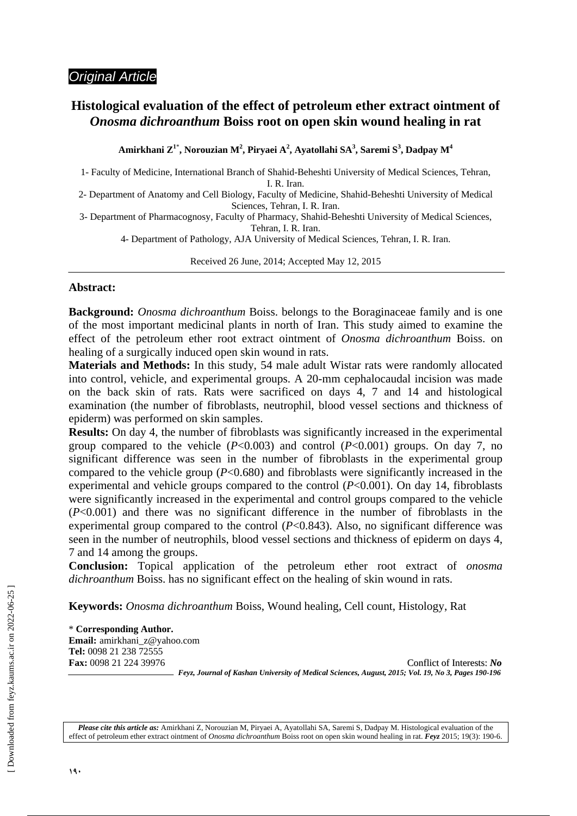## *Original Article*

## **Histological evaluation of the effect of petroleum ether extract ointment of**  *Onosma dichroanthum* **Boiss root on open skin wound healing in rat**

**Amirkhani Z1**\* **, Norouzian M<sup>2</sup> , Piryaei A<sup>2</sup> , Ayatollahi SA<sup>3</sup> , Saremi S<sup>3</sup> , Dadpay M<sup>4</sup>**

1- Faculty of Medicine, International Branch of Shahid-Beheshti University of Medical Sciences, Tehran,

I. R. Iran.

- 2- Department of Anatomy and Cell Biology, Faculty of Medicine, Shahid-Beheshti University of Medical Sciences, Tehran, I. R. Iran.
- 3- Department of Pharmacognosy, Faculty of Pharmacy, Shahid-Beheshti University of Medical Sciences, Tehran, I. R. Iran.

4- Department of Pathology, AJA University of Medical Sciences, Tehran, I. R. Iran.

Received 26 June, 2014; Accepted May 12, 2015

j

### **Abstract:**

**Background:** *Onosma dichroanthum* Boiss. belongs to the Boraginaceae family and is one of the most important medicinal plants in north of Iran. This study aimed to examine the effect of the petroleum ether root extract ointment of *Onosma dichroanthum* Boiss. on healing of a surgically induced open skin wound in rats.

**Materials and Methods:** In this study, 54 male adult Wistar rats were randomly allocated into control, vehicle, and experimental groups. A 20-mm cephalocaudal incision was made on the back skin of rats. Rats were sacrificed on days 4, 7 and 14 and histological examination (the number of fibroblasts, neutrophil, blood vessel sections and thickness of epiderm) was performed on skin samples.

**Results:** On day 4, the number of fibroblasts was significantly increased in the experimental group compared to the vehicle  $(P<0.003)$  and control  $(P<0.001)$  groups. On day 7, no significant difference was seen in the number of fibroblasts in the experimental group compared to the vehicle group (*P*<0.680) and fibroblasts were significantly increased in the experimental and vehicle groups compared to the control (*P*<0.001). On day 14, fibroblasts were significantly increased in the experimental and control groups compared to the vehicle (*P*<0.001) and there was no significant difference in the number of fibroblasts in the experimental group compared to the control  $(P<0.843)$ . Also, no significant difference was seen in the number of neutrophils, blood vessel sections and thickness of epiderm on days 4, 7 and 14 among the groups.

**Conclusion:** Topical application of the petroleum ether root extract of *onosma dichroanthum* Boiss. has no significant effect on the healing of skin wound in rats.

**Keywords:** *Onosma dichroanthum* Boiss, Wound healing, Cell count, Histology, Rat

\* **Corresponding Author. Email:** amirkhani\_z@yahoo.com **Tel:** 0098 21 238 72555

**Fax:** 0098 21 224 39976 Conflict of Interests: *No Feyz, Journal of Kashan University of Medical Sciences, August, 2015; Vol. 19, No 3, Pages 190-196* 

*Please cite this article as:* Amirkhani Z, Norouzian M, Piryaei A, Ayatollahi SA, Saremi S, Dadpay M. Histological evaluation of the effect of petroleum ether extract ointment of *Onosma dichroanthum* Boiss root on open skin wound healing in rat. *Feyz* 2015; 19(3): 190-6.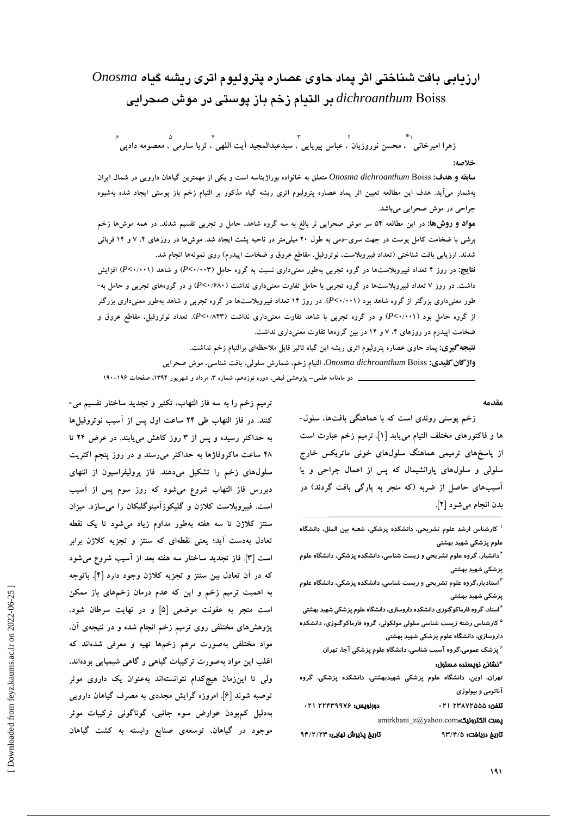# **ارزيابي بافت شناختي اثر پماد حاوي عصاره پتروليوم اتري ريشه گياه** *Onosma* Boiss *dichroanthum* **بر التيام زخم باز پوستي در موش صحرايي**

1\*ِ<br>زهرا امیرخانی ``، محسن نوروزیان`، عباس پیریایی َ، سیدعبدالمجید اَیت اللهی َ، ثریا سارمی َ، معصومه دادپی ۶

**خلاصه:** 

**سابقه و هدف:** Onosma dichroanthum Boiss متعلق به خانواده بوراژیناسه است و یکی از مهمترین گیاهان دارویی در شمال ایران بهشمار میآید. هدف این مطالعه تعیین اثر پماد عصاره پترولیوم اتری ریشه گیاه مذکور بر التیام زخم باز پوستی ایجاد شده بهشیوه **جراحي در موش صحرايي ميباشد.** 

مواد و روش&: در این مطالعه ۵۴ سر موش صحرایی نر بالغ به سه گروه شاهد، حامل و تجربی تقسیم شدند. در همه موشها زخم برشی با ضخامت کامل یوست در جهت سری-دمی به طول ۲۰ میلیمتر در ناحیه پشت ایجاد شد. موش۵ا در روزهای ۴، ۷ و ۱۴ قربانی شدند. ارزیابی بافت شناختی (تعداد فیبروبلاست، نوتروفیل، مقاطع عروق و ضخامت اپیدرم) روی نمونهها انجام شد.

نقایچ: در روز ۴ تعداد فیبروبلاستها در گروه تجربی بهطور معنیداری نسبت به گروه حامل (۲-۰/۰۰۲) و شاهد (۲-۰/۰۰۱) افزایش داشت. در روز ۷ تعداد فیبروبلاستها در گروه تجربی با حامل تفاوت معنیداری نداشت (۶۸۰/۶۸۰) و در گروههای تجربی و حامل به-طور معنیداری بزرگتر از گروه شاهد بود (P<۱۰۰۱). در روز ۱۴ تعداد فیبروبلاستها در گروه تجربی و شاهد بهطور معنیداری بزرگتر از گروه حامل بود (۲۰٬۰۰۱) و در گروه تجربی با شاهد تفاوت معنیداری نداشت (۲۴/۰/۸۴۳). تعداد نوتروفیل، مقاطع عروق و **ضخامت اپيدرم در روزهاي ،4 7 و 14 در بين گروهها تفاوت معنيداري نداشت.**

**نتيجهگيري: پماد حاوي عصاره پتروليوم اتري ريشه اين گياه تاثير قابل ملاحظهاي برالتيام زخم نداشت.** 

**واژگانكليدي:** Boiss *dichroanthum Onosma***، التيام زخم، شمارش سلولي، بافت شناسي، موش صحرايي** 

 **دو ماهنامه علمي– پژوهشي فيض، دوره نوزدهم، شماره ،3 مرداد و شهريور ،1394 صفحات 190-196**

**مقدمه** 

**زخم پوستي روندي است كه با هماهنگي بافتها، سلول- ها و فاكتورهاي مختلف التيام مييابد [1]. ترميم زخم عبارت است از پاسخهاي ترميمي هماهنگ سلولهاي خوني ماتريكس خارج سلولي و سلولهاي پارانشيمال كه پس از اعمال جراحي و يا آسيبهاي حاصل از ضربه (كه منجر به پارگي بافت گردند) در بدن انجام ميشود [2].** 

**كارشناس ارشد علوم تشريحي، دانشكده پزشكي، شعبه بين الملل، دانشگاه <sup>1</sup> علوم پزشكي شهيد بهشتي** 

**دانشيار، گروه علوم تشريحي و زيست شناسي، دانشكده پزشكي، دانشگاه علوم <sup>2</sup> پزشكي شهيد بهشتي** 

**استاديار،گروه علوم تشريحي و زيست شناسي، دانشكده پزشكي، دانشگاه علوم <sup>3</sup> پزشكي شهيد بهشتي** 

**استاد، گروهفارماكوگنوزيدانشكده داروسازي، دانشگاه علوم پزشكيشهيد بهشتي <sup>4</sup> كارشناس رشته زيست شناسي سلولي مولكولي، گروه فارماكوگنوزي، دانشكده <sup>5</sup> داروسازي، دانشگاه علوم پزشكي شهيد بهشتي** 

**پزشك عمومي،گروه آسيب شناسي، دانشگاه علوم پزشكي آجا، تهران <sup>6</sup>**

\*نشاني نويسنده مسئول:

**تهران، اوين، دانشگاه علوم پزشكي شهيدبهشتي، دانشكده پزشكي، گروه آناتومي و بيولوژي** تلفن: **23872555 021** دورنويس: **22439976 021**  amirkhani\_z@yahoo.com:الكترونيك پست

تاريخ دريافت: **93/4/5** تاريخ پذيرش نهايي: **94/2/23** 

**ترميم زخم را به سه فاز التهاب، تكثير و تجديد ساختار تقسيم مي- كنند. در فاز التهاب طي 24 ساعت اول پس از آسيب نوتروفيلها به حداكثر رسيده و پس از 3 روز كاهش مييابند. در عرض 24 تا 48 ساعت ماكروفاژها به حداكثر ميرسند و در روز پنجم اكثريت سلولهاي زخم را تشكيل ميدهند. فاز پروليفراسيون از انتهاي ديررس فاز التهاب شروع ميشود كه روز سوم پس از آسيب است. فيبروبلاست كلاژن و گليكوزآمينوگليكان را ميسازد. ميزان سنتز كلاژن تا سه هفته بهطور مداوم زياد ميشود تا يك نقطه تعادل بهدست آيد؛ يعني نقطهاي كه سنتز و تجزيه كلاژن برابر است [3]. فاز تجديد ساختار سه هفته بعد از آسيب شروع ميشود كه در آن تعادل بين سنتز و تجزيه كلاژن وجود دارد [4]. باتوجه به اهميت ترميم زخم و اين كه عدم درمان زخمهاي باز ممكن است منجر به عفونت موضعي [5] و در نهايت سرطان شود، پژوهشهاي مختلفي روي ترميم زخم انجام شده و در نتيجهي آن، مواد مختلفي بهصورت مرهم زخمها تهيه و معرفي شدهاند كه اغلب اين مواد بهصورت تركيبات گياهي و گاهي شيميايي بودهاند، ولي تا اينزمان هيچكدام نتوانستهاند بهعنوان يك داروي موثر توصيه شوند [6]. امروزه گرايش مجددي به مصرف گياهان دارويي بهدليل كمبودن عوارض سوء جانبي، گوناگوني تركيبات موثر موجود در گياهان، توسعهي صنايع وابسته به كشت گياهان**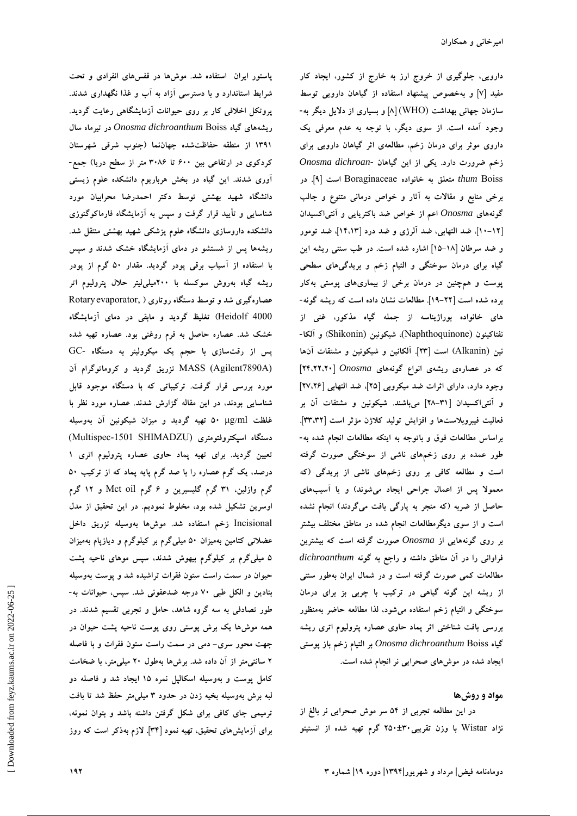**پاستور ايران استفاده شد. موشها در قفسهاي انفرادي و تحت شرايط استاندارد و با دسترسي آزاد به آب و غذا نگهداري شدند. پروتكل اخلاقي كار بر روي حيوانات آزمايشگاهي رعايت گرديد. ريشههاي گياه** Boiss *dichroanthum Onosma* **در تيرماه سال 1391 از منطقه حفاظتشده جهاننما (جنوب شرقي شهرستان كردكوي در ارتفاعي بين 600 تا 3086 متر از سطح دريا) جمع- آوري شدند. اين گياه در بخش هرباريوم دانشكده علوم زيستي دانشگاه شهيد بهشتي توسط دكتر احمدرضا محرابيان مورد شناسايي و تأييد قرار گرفت و سپس به آزمايشگاه فارماكوگنوزي دانشكده داروسازي دانشگاه علوم پزشكي شهيد بهشتي منتقل شد. ريشهها پس از شستشو در دماي آزمايشگاه خشك شدند و سپس با استفاده از آسياب برقي پودر گرديد. مقدار 50 گرم از پودر ريشه گياه بهروش سوكسله با 200ميليليتر حلال پتروليوم اتر عصارهگيري شد و توسط دستگاه روتاري (** ,Rotaryevaporator 4000 Heidolf **(تغليظ گرديد و مابقي در دماي آزمايشگاه خشك شد. عصاره حاصل به فرم روغني بود. عصاره تهيه شده پس از رقتسازي با حجم يك ميكروليتر به دستگاه** -GC (A7890Agilent (MASS **تزريق گرديد و كروماتوگرام آن مورد بررسي قرار گرفت. تركيباتي كه با دستگاه موجود قابل شناسايي بودند، در اين مقاله گزارش شدند. عصاره مورد نظر با غلظت** ml**/**μg **50 تهيه گرديد و ميزان شيكونين آن بهوسيله دستگاه اسپكتروفتومتري** (SHIMADZU -1501Multispec( **تعيين گرديد. براي تهيه پماد حاوي عصاره پتروليوم اتري 1 درصد، يك گرم عصاره را با صد گرم پايه پماد كه از تركيب 50 گرم وازلين، 31 گرم گليسيرين و 6 گرم** oil Mct **و 12 گرم اوسرين تشكيل شده بود، مخلوط نموديم. در اين تحقيق از مدل** Incisional **زخم استفاده شد. موشها بهوسيله تزريق داخل عضلاني كتامين بهميزان 50 ميليگرم بر كيلوگرم و ديازپام بهميزان 5 ميليگرم بر كيلوگرم بيهوش شدند، سپس موهاي ناحيه پشت حيوان در سمت راست ستون فقرات تراشيده شد و پوست بهوسيله بتادين و الكل طبي 70 درجه ضدعفوني شد. سپس، حيوانات به- طور تصادفي به سه گروه شاهد، حامل و تجربي تقسيم شدند. در همه موشها يك برش پوستي روي پوست ناحيه پشت حيوان در جهت محور سري- دمي در سمت راست ستون فقرات و با فاصله 2 سانتيمتر از آن داده شد. برشها بهطول 20 ميليمتر، با ضخامت كامل پوست و بهوسيله اسكالپل نمره 15 ايجاد شد و فاصله دو لبه برش بهوسيله بخيه زدن در حدود 3 ميليمتر حفظ شد تا بافت ترميمي جاي كافي براي شكل گرفتن داشته باشد و بتوان نمونه، براي آزمايشهاي تحقيق، تهيه نمود [34]. لازم بهذكر است كه روز**

**دارويي، جلوگيري از خروج ارز به خارج از كشور، ايجاد كار مفيد [7] و بهخصوص پيشنهاد استفاده از گياهان دارويي توسط سازمان جهاني بهداشت** (WHO**]** (**8 [و بسياري از دلايل ديگر به- وجود آمده است. از سوي ديگر، با توجه به عدم معرفي يك داروي موثر براي درمان زخم، مطالعهي اثر گياهان دارويي براي زخم ضرورت دارد. يكي از اين گياهان** *-dichroan Onosma* Boiss *thum* **متعلق به خانواده** Boraginaceae **است [9]. در برخي منابع و مقالات به آثار و خواص درماني متنوع و جالب گونههاي** *Onosma* **اعم از خواص ضد باكتريايي و آنتياكسيدان [10-12]، ضد التهابي، ضد آلرژي و ضد درد [14،13]، ضد تومور و ضد سرطان [15-18] اشاره شده است. در طب سنتي ريشه اين گياه براي درمان سوختگي و التيام زخم و بريدگيهاي سطحي پوست و همچنين در درمان برخي از بيماريهاي پوستي بهكار برده شده است [19-22]. مطالعات نشان داده است كه ريشه گونه- هاي خانواده بوراژيناسه از جمله گياه مذكور، غني از نفتاكينون** (Naphthoquinone(**، شيكونين** (Shikonin (**و آلكا- نين** (Alkanin **(است [23]. آلكانين و شيكونين و مشتقات آنها كه در عصارهي ريشهي انواع گونههاي** *Onosma***] 24،22،20[ وجود دارد، داراي اثرات ضد ميكروبي [25]، ضد التهابي [27،26] و آنتياكسيدان [28-31] ميباشند. شيكونين و مشتقات آن بر فعاليت فيبروبلاستها و افزايش توليد كلاژن مؤثر است [33،32]. براساس مطالعات فوق و باتوجه به اينكه مطالعات انجام شده به- طور عمده بر روي زخمهاي ناشي از سوختگي صورت گرفته است و مطالعه كافي بر روي زخمهاي ناشي از بريدگي (كه معمولا پس از اعمال جراحي ايجاد ميشوند) و يا آسيبهاي حاصل از ضربه (كه منجر به پارگي بافت ميگردند) انجام نشده است و از سوي ديگرمطالعات انجام شده در مناطق مختلف بيشتر بر روي گونههايي از** *Onosma* **صورت گرفته است كه بيشترين فراواني را در آن مناطق داشته و راجع به گونه** *dichroanthum* **مطالعات كمي صورت گرفته است و در شمال ايران بهطور سنتي از ريشه اين گونه گياهي در تركيب با چربي بز براي درمان سوختگي و التيام زخم استفاده ميشود، لذا مطالعه حاضر بهمنظور بررسي بافت شناختي اثر پماد حاوي عصاره پتروليوم اتري ريشه گياه** Boiss *dichroanthum Onosma* **بر التيام زخم باز پوستي ايجاد شده در موشهاي صحرايي نر انجام شده است.** 

### **مواد و روشها**

**در اين مطالعه تجربي از 54 سر موش صحرايي نر بالغ از نژاد** Wistar **با وزن تقريبي250±30 گرم تهيه شده از انستيتو**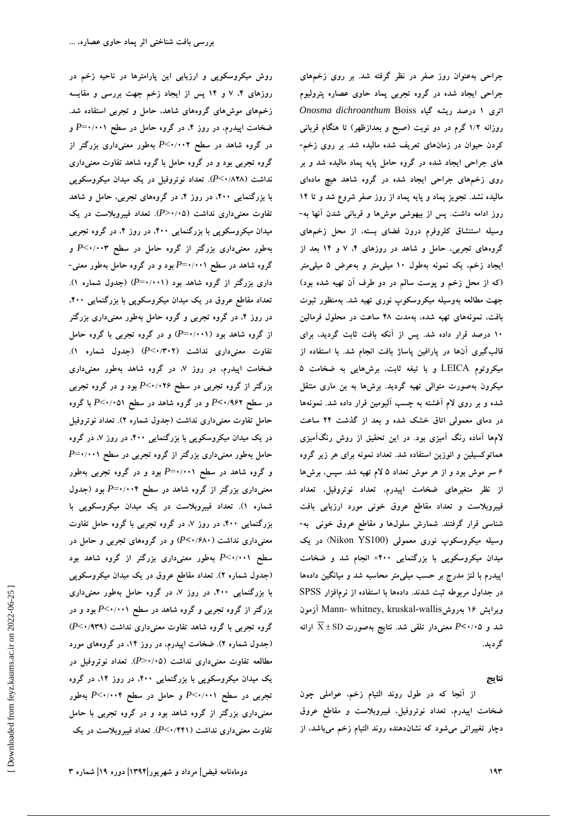**روش ميكروسكوپي و ارزيابي اين پارامترها در ناحيه زخم در روزهاي ،4 7 و 14 پس از ايجاد زخم جهت بررسي و مقايسه زخمهاي موشهاي گروههاي شاهد، حامل و تجربي استفاده شد. ضخامت اپيدرم، در روز ،4 در گروه حامل در سطح 0/001**=*P* **و در گروه شاهد در سطح 0/002**>*P* **بهطور معنيداري بزرگتر از گروه تجربي بود و در گروه حامل با گروه شاهد تفاوت معنيداري نداشت (0/828**>*P***(. تعداد نوتروفيل در يك ميدان ميكروسكوپي با بزرگنمايي ،400 در روز ،4 در گروههاي تجربي، حامل و شاهد تفاوت معنيداري نداشت (0/05**<*P***(. تعداد فيبروبلاست در يك ميدان ميكروسكوپي با بزرگنمايي ،400 در روز ،4 در گروه تجربي بهطور معنيداري بزرگتر از گروه حامل در سطح 0/003**>*P* **و گروه شاهد در سطح 0/001**=*P* **بود و در گروه حامل بهطور معني- داري بزرگتر از گروه شاهد بود (0/001**=*P***) (جدول شماره 1). تعداد مقاطع عروق در يك ميدان ميكروسكوپي با بزرگنمايي ،400 در روز ،4 در گروه تجربي و گروه حامل بهطور معنيداري بزرگتر از گروه شاهد بود (0/001**=*P* **(و در گروه تجربي با گروه حامل تفاوت معنيداري نداشت (0/302**>*P***) (جدول شماره 1). ضخامت اپيدرم، در روز ،7 در گروه شاهد بهطور معنيداري بزرگتر از گروه تجربي در سطح 0/026**>*P* **بود و در گروه تجربي در سطح 0/962>***P* **و در گروه شاهد در سطح 0/051**>*P* **با گروه حامل تفاوت معنيداري نداشت (جدول شماره 2). تعداد نوتروفيل در يك ميدان ميكروسكوپي با بزرگنمايي ،400 در روز ،7 در گروه حامل بهطور معنيداري بزرگتر از گروه تجربي در سطح 0/001**=*P* **و گروه شاهد در سطح 0/001**=*P* **بود و در گروه تجربي بهطور معنيداري بزرگتر از گروه شاهد در سطح 0/004**=*P* **بود (جدول شماره 1). تعداد فيبروبلاست در يك ميدان ميكروسكوپي با بزرگنمايي ،400 در روز ،7 در گروه تجربي با گروه حامل تفاوت معنيداري نداشت (0/680>***P* **(و در گروههاي تجربي و حامل در سطح 0/001**>*P* **بهطور معنيداري بزرگتر از گروه شاهد بود (جدول شماره 2). تعداد مقاطع عروق در يك ميدان ميكروسكوپي با بزرگنمايي ،400 در روز ،7 در گروه حامل بهطور معنيداري بزرگتر از گروه تجربي و گروه شاهد در سطح 0/001**>*P* **بود و در گروه تجربي با گروه شاهد تفاوت معنيداري نداشت (0/939**>*P***( (جدول شماره 2). ضخامت اپيدرم، در روز ،14 در گروههاي مورد مطالعه تفاوت معنيداري نداشت (0/05**<*P***(. تعداد نوتروفيل در يك ميدان ميكروسكوپي با بزرگنمايي ،400 در روز ،14 در گروه تجربي در سطح 0/001**>*P* **و حامل در سطح 0/004**>*P* **بهطور معنيداري بزرگتر از گروه شاهد بود و در گروه تجربي با حامل تفاوت معنيداري نداشت (0/441**>*P***(. تعداد فيبروبلاست در يك** **جراحي بهعنوان روز صفر در نظر گرفته شد. بر روي زخمهاي جراحي ايجاد شده در گروه تجربي پماد حاوي عصاره پتروليوم اتري 1 درصد ريشه گياه** Boiss *dichroanthum Onosma* **روزانه 1/2 گرم در دو نوبت (صبح و بعدازظهر) تا هنگام قرباني كردن حيوان در زمانهاي تعريف شده ماليده شد. بر روي زخم- هاي جراحي ايجاد شده در گروه حامل پايه پماد ماليده شد و بر روي زخمهاي جراحي ايجاد شده در گروه شاهد هيچ مادهاي ماليده نشد. تجويز پماد و پايه پماد از روز صفر شروع شد و تا 14 روز ادامه داشت. پس از بيهوشي موشها و قرباني شدن آنها به- وسيله استنشاق كلروفرم درون فضاي بسته، از محل زخمهاي گروههاي تجربي، حامل و شاهد در روزهاي ،4 7 و 14 بعد از ايجاد زخم، يك نمونه بهطول 10 ميليمتر و بهعرض 5 ميليمتر (كه از محل زخم و پوست سالم در دو طرف آن تهيه شده بود) جهت مطالعه بهوسيله ميكروسكوپ نوري تهيه شد. بهمنظور ثبوت بافت، نمونههاي تهيه شده، بهمدت 48 ساعت در محلول فرمالين 10 درصد قرار داده شد. پس از آنكه بافت ثابت گرديد، براي قالبگيري آنها در پارافين پاساژ بافت انجام شد. با استفاده از ميكروتوم** LEICA **و با تيغه ثابت، برشهايي به ضخامت 5 ميكرون بهصورت متوالي تهيه گرديد. برشها به بن ماري منتقل شده و بر روي لام آغشته به چسب آلبومين قرار داده شد. نمونهها در دماي معمولي اتاق خشك شده و بعد از گذشت 24 ساعت لامها آماده رنگ آميزي بود. در اين تحقيق از روش رنگآميزي هماتوكسيلين و ائوزين استفاده شد. تعداد نمونه براي هر زير گروه 6 سر موش بود و از هر موش تعداد 5 لام تهيه شد. سپس، برشها از نظر متغيرهاي ضخامت اپيدرم، تعداد نوتروفيل، تعداد فيبروبلاست و تعداد مقاطع عروق خوني مورد ارزيابي بافت شناسي قرار گرفتند. شمارش سلولها و مقاطع عروق خوني به- وسيله ميكروسكوپ نوري معمولي** (100YS Nikon (**در يك ميدان ميكروسكوپي با بزرگنمايي 400× انجام شد و ضخامت اپيدرم با لنز مدرج بر حسب ميليمتر محاسبه شد و ميانگين دادهها در جداول مربوطه ثبت شدند. دادهها با استفاده از نرمافزار** SPSS **آزمون** Mann- whitney, kruskal**-**wallis**بهروش 16 ويرايش شد و 0/05>***P* **معنيدار تلقي شد. نتايج بهصورت** SD ± X **ارائه گرديد.** 

### **نتايج**

**از آنجا كه در طول روند التيام زخم، عواملي چون ضخامت اپيدرم، تعداد نوتروفيل، فيبروبلاست و مقاطع عروق دچار تغييراتي ميشود كه نشاندهنده روند التيام زخم ميباشد، از**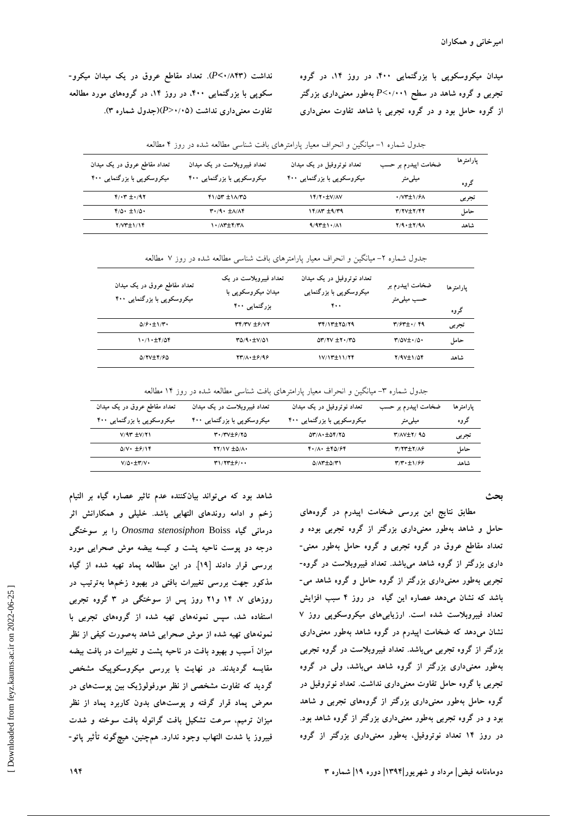**ميدان ميكروسكوپي با بزرگنمايي ،400 در روز ،14 در گروه تجربي و گروه شاهد در سطح 0/001**>*P* **بهطور معنيداري بزرگتر از گروه حامل بود و در گروه تجربي با شاهد تفاوت معنيداري**

**نداشت (0/843>***P***(. تعداد مقاطع عروق در يك ميدان ميكرو- سكوپي با بزرگنمايي ،400 در روز ،14 در گروههاي مورد مطالعه تفاوت معنيداري نداشت (0/05**<*P***)(جدول شماره 3).** 

| تعداد مقاطع عروق در یک میدان     | تعداد فیبروبلاست در یک میدان          | تعداد نوتروفیل در یک میدان  | ضخامت اپیدرم بر حسب                                     | يارامترها |
|----------------------------------|---------------------------------------|-----------------------------|---------------------------------------------------------|-----------|
| میکروسکویی با بزرگنمایی ۴۰۰      | میکروسکوپی با بزرگنمایی ۴۰۰           | میکروسکویی با بزرگنمایی ۴۰۰ | میلی متر                                                | گروه      |
| $Y/\cdot Y = \cdot$ /97          | $Y1/0Y \pm 1/\frac{1}{10}$            | $YY/Y$ + $\pm$ V/AV         | $\cdot$ / $V^*$ $\pm$ $\frac{1}{2}$ $\sqrt{2}$ $\wedge$ | تجربي     |
| $Y/\Delta$ + $\pm$ 1/ $\Delta$ + | $T \cdot 9 \cdot \pm \Lambda/\Lambda$ | $Y^*$ $\pm$ $Y^*$           | $Y/YV+Y/YY$                                             | حامل      |
| $Y/Y^*$ $\pm$ $Y$                | 1 . / 1 . 2 . 7 . 7 . 7               | $9/97 \pm 1.7$              | Y/9.1Y/9A                                               | شاهد      |

جدول شماره -1 ميانگين و انحراف معيار پارامترهاي بافت شناسي مطالعه شده در روز 4 مطالعه

جدول شماره ۲- ميانگين و انحراف معيار پارامترهاي بافت شناسي مطالعه شده در روز ۷ مطالعه

| تعداد مقاطع عروق در یک میدان<br>میکروسکوپی با بزرگنمایی ۴۰۰ | تعداد فيبروبلاست در يک<br>میدان میکروسکوپی با<br>بزرگنمایی ۴۰۰ | تعداد نوتروفیل در یک میدان<br>میکروسکوپی با بزرگنمایی<br>۴۰۰       | ضخامت اپیدرم بر<br>حسب میلی متر                        | يارامترها<br>گروه |
|-------------------------------------------------------------|----------------------------------------------------------------|--------------------------------------------------------------------|--------------------------------------------------------|-------------------|
| $\Delta$ / $\mathcal{F}$ + $\pm$ 1/ $\mathcal{F}$ +         | $YY/Y'Y \pm 9/YY$                                              | 37/17+70/79                                                        | $\mathbf{y}/\mathbf{\hat{y}}\mathbf{y}$ + $\mathbf{y}$ | تجربي             |
| 1.71.1                                                      | $T\Delta$ /9 $\pm$ V/ $\Delta$ 1                               | $\Delta \mathbf{r}/\mathbf{r}$ $\pm \mathbf{r} \cdot / \mathbf{r}$ | $\Upsilon/\Delta V \pm \Upsilon/\Delta$                | حامل              |
| 5/17-19/6                                                   | 7311.126198                                                    | 17/13±11/24                                                        | $Y/9V \pm 1/\Delta f$                                  | شاهد              |

جدول شماره ٣- ميانگين و انحراف معيار پارامترهاي بافت شناسي مطالعه شده در روز ١۴ مطالعه

| تعداد مقاطع عروق در یک میدان          | تعداد فیبروبلاست در یک میدان | تعداد نو تروفیل در یک میدان                                               | ضخامت اپیدرم بر حسب | يارامترها |
|---------------------------------------|------------------------------|---------------------------------------------------------------------------|---------------------|-----------|
| میکروسکوپی با بزرگنمایی ۴۰۰           | میکروسکوپی با بزرگنمایی ۴۰۰  | میکروسکوپی با بزرگنمایی ۴۰۰                                               | میلی متر            | گروه      |
| $V/9T$ $\pm V/71$                     | <b>٣٠/٣٧</b> ±٦/٢٥           | $\Delta \mathbf{r}/\Lambda \cdot \pm \Delta \mathbf{r}/\mathbf{r} \Delta$ | <b>T/AVIT/90</b>    | تجربي     |
| $\Delta$ /V· $\pm$ $\frac{6}{15}$ /14 | $YY/Y \pm \Delta/\Lambda$    | $Y \cdot / \Lambda \cdot \pm Y \Delta / 9Y$                               | <b>٣/٢٣±٢/٨۶</b>    | حامل      |
| $V/\Delta \cdot \pm V/V \cdot$        | <b>۳۱/۲۳</b> ±۶/۰۰           | $\Delta/\Lambda$ ۳ $\pm$ $\Delta$ /۳۱                                     | $T/T + \pm 1/99$    | شاهد      |

**بحث** 

**مطابق نتايج اين بررسي ضخامت اپيدرم در گروههاي حامل و شاهد بهطور معنيداري بزرگتر از گروه تجربي بوده و تعداد مقاطع عروق در گروه تجربي و گروه حامل بهطور معني- داري بزرگتر از گروه شاهد ميباشد. تعداد فيبروبلاست در گروه- تجربي بهطور معنيداري بزرگتر از گروه حامل و گروه شاهد مي- باشد كه نشان ميدهد عصاره اين گياه در روز 4 سبب افزايش تعداد فيبروبلاست شده است. ارزيابيهاي ميكروسكوپي روز 7 نشان ميدهد كه ضخامت اپيدرم در گروه شاهد بهطور معنيداري بزرگتر از گروه تجربي ميباشد. تعداد فيبروبلاست در گروه تجربي بهطور معنيداري بزرگتر از گروه شاهد ميباشد، ولي در گروه تجربي با گروه حامل تفاوت معنيداري نداشت. تعداد نوتروفيل در گروه حامل بهطور معنيداري بزرگتر از گروههاي تجربي و شاهد بود و در گروه تجربي بهطور معنيداري بزرگتر از گروه شاهد بود. در روز 14 تعداد نوتروفيل، بهطور معنيداري بزرگتر از گروه**

**شاهد بود كه ميتواند بيانكننده عدم تاثير عصاره گياه بر التيام زخم و ادامه روندهاي التهابي باشد. خليلي و همكارانش اثر درماني گياه** Boiss *stenosiphon Onosma* **را بر سوختگي درجه دو پوست ناحيه پشت و كيسه بيضه موش صحرايي مورد بررسي قرار دادند [19]. در اين مطالعه پماد تهيه شده از گياه مذكور جهت بررسي تغييرات بافتي در بهبود زخمها بهترتيب در روزهاي ،7 14 و21 روز پس از سوختگي در 3 گروه تجربي استفاده شد، سپس نمونههاي تهيه شده از گروههاي تجربي با نمونههاي تهيه شده از موش صحرايي شاهد بهصورت كيفي از نظر ميزان آسيب و بهبود بافت در ناحيه پشت و تغييرات در بافت بيضه مقايسه گرديدند. در نهايت با بررسي ميكروسكوپيك مشخص گرديد كه تفاوت مشخصي از نظر مورفولوژيك بين پوستهاي در معرض پماد قرار گرفته و پوستهاي بدون كاربرد پماد از نظر ميزان ترميم، سرعت تشكيل بافت گرانوله بافت سوخته و شدت فيبروز يا شدت التهاب وجود ندارد. همچنين، هيچگونه تأثير پاتو-**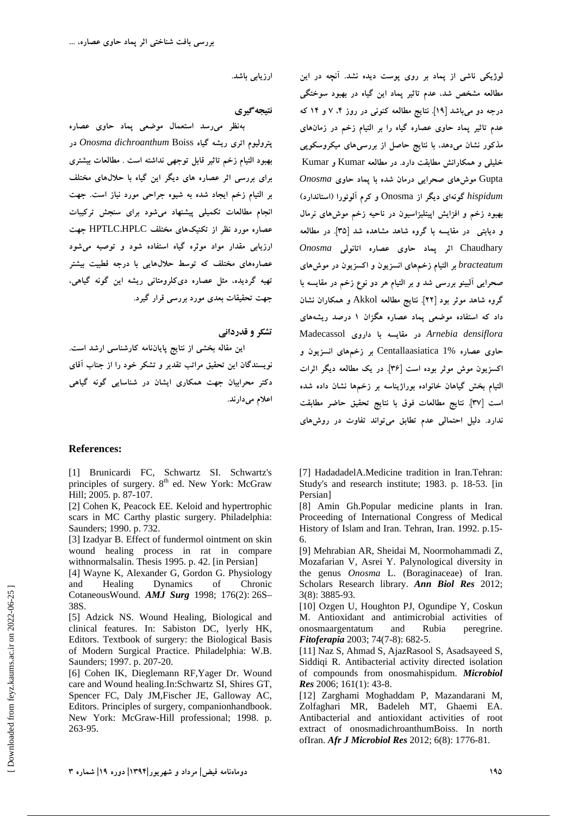**ارزيابي باشد.** 

**نتيجهگيري** 

**بهنظر ميرسد استعمال موضعي پماد حاوي عصاره پتروليوم اتري ريشه گياه** Boiss *dichroanthum Onosma* **در بهبود التيام زخم تاثير قابل توجهي نداشته است . مطالعات بيشتري براي بررسي اثر عصاره هاي ديگر اين گياه با حلالهاي مختلف بر التيام زخم ايجاد شده به شيوه جراحي مورد نياز است. جهت انجام مطالعات تكميلي پيشنهاد ميشود براي سنجش تركيبات عصاره مورد نظر از تكنيكهاي مختلف** HPLC،HPTLC **جهت ارزيابي مقدار مواد موثره گياه استفاده شود و توصيه ميشود عصارههاي مختلف كه توسط حلالهايي با درجه قطبيت بيشتر تهيه گرديده، مثل عصاره ديكلرومتاني ريشه اين گونه گياهي، جهت تحقيقات بعدي مورد بررسي قرار گيرد.** 

**تشكر و قدرداني اين مقاله بخشي از نتايج پاياننامه كارشناسي ارشد است. نويسندگان اين تحقيق مراتب تقدير و تشكر خود را از جناب آقاي دكتر محرابيان جهت همكاري ايشان در شناسايي گونه گياهي اعلام ميدارند.** 

#### **References:**

[1] Brunicardi FC, Schwartz SI. Schwartz's principles of surgery.  $8<sup>th</sup>$  ed. New York: McGraw Hill; 2005. p. 87-107.

[2] Cohen K, Peacock EE. Keloid and hypertrophic scars in MC Carthy plastic surgery. Philadelphia: Saunders; 1990. p. 732.

[3] Izadyar B. Effect of fundermol ointment on skin wound healing process in rat in compare withnormalsalin. Thesis 1995. p. 42. [in Persian]

[4] Wayne K, Alexander G, Gordon G. Physiology and Healing Dynamics of Chronic CotaneousWound. *AMJ Surg* 1998; 176(2): 26S– 38S.

[5] Adzick NS. Wound Healing, Biological and clinical features. In: Sabiston DC, lyerly HK, Editors. Textbook of surgery: the Biological Basis of Modern Surgical Practice. Philadelphia: W.B. Saunders; 1997. p. 207-20.

[6] Cohen IK, Dieglemann RF,Yager Dr. Wound care and Wound healing.In:Schwartz SI, Shires GT, Spencer FC, Daly JM,Fischer JE, Galloway AC, Editors. Principles of surgery, companionhandbook. New York: McGraw-Hill professional; 1998. p. 263-95.

**لوژيكي ناشي از پماد بر روي پوست ديده نشد. آنچه در اين مطالعه مشخص شد، عدم تاثير پماد اين گياه در بهبود سوختگي درجه دو ميباشد [19]. نتايج مطالعه كنوني در روز ،4 7 و 14 كه عدم تاثير پماد حاوي عصاره گياه را بر التيام زخم در زمانهاي مذكور نشان ميدهد، با نتايج حاصل از بررسيهاي ميكروسكوپي خليلي و همكارانش مطابقت دارد. در مطالعه** Kumar **و** Kumar Gupta **موشهاي صحرايي درمان شده با پماد حاوي** *Onosma hispidum* **گونهاي ديگر از** Onosma **و كرم آلوئورا (استاندارد) بهبود زخم و افزايش اپيتليزاسيون در ناحيه زخم موشهاي نرمال و ديابتي در مقايسه با گروه شاهد مشاهده شد [35]. در مطالعه** Chaudhary **اثر پماد حاوي عصاره اتانولي** *Onosma bracteatum* **بر التيام زخمهاي انسزيون و اكسزيون در موشهاي صحرايي آلبينو بررسي شد و بر التيام هر دو نوع زخم در مقايسه با گروه شاهد موثر بود [22]. نتايج مطالعه** Akkol **و همكاران نشان داد كه استفاده موضعي پماد عصاره هگزان 1 درصد ريشههاي** *densiflora Arnebia* **در مقايسه با داروي** Madecassol **حاوي عصاره** 1% Centallaasiatica **بر زخمهاي انسزيون و اكسزيون موش موثر بوده است [36]. در يك مطالعه ديگر اثرات التيام بخش گياهان خانواده بوراژيناسه بر زخمها نشان داده شده است [37]. نتايج مطالعات فوق با نتايج تحقيق حاضر مطابقت ندارد. دليل احتمالي عدم تطابق ميتواند تفاوت در روشهاي**

[7] HadadadelA.Medicine tradition in Iran.Tehran: Study's and research institute; 1983. p. 18-53. [in Persian]

[8] Amin Gh.Popular medicine plants in Iran. Proceeding of International Congress of Medical History of Islam and Iran. Tehran, Iran. 1992. p.15- 6.

[9] Mehrabian AR, Sheidai M, Noormohammadi Z, Mozafarian V, Asrei Y. Palynological diversity in the genus *Onosma* L. (Boraginaceae) of Iran. Scholars Research library. *Ann Biol Res* 2012; 3(8): 3885-93.

[10] Ozgen U, Houghton PJ, Ogundipe Y, Coskun M. Antioxidant and antimicrobial activities of onosmaargentatum and Rubia peregrine. *Fitoferapia* 2003; 74(7-8): 682-5.

[11] Naz S, Ahmad S, AjazRasool S, Asadsayeed S, Siddiqi R. Antibacterial activity directed isolation of compounds from onosmahispidum. *Microbiol Res* 2006; 161(1): 43-8.

[12] Zarghami Moghaddam P, Mazandarani M, Zolfaghari MR, Badeleh MT, Ghaemi EA. Antibacterial and antioxidant activities of root extract of onosmadichroanthumBoiss. In north ofIran. *Afr J Microbiol Res* 2012; 6(8): 1776-81.